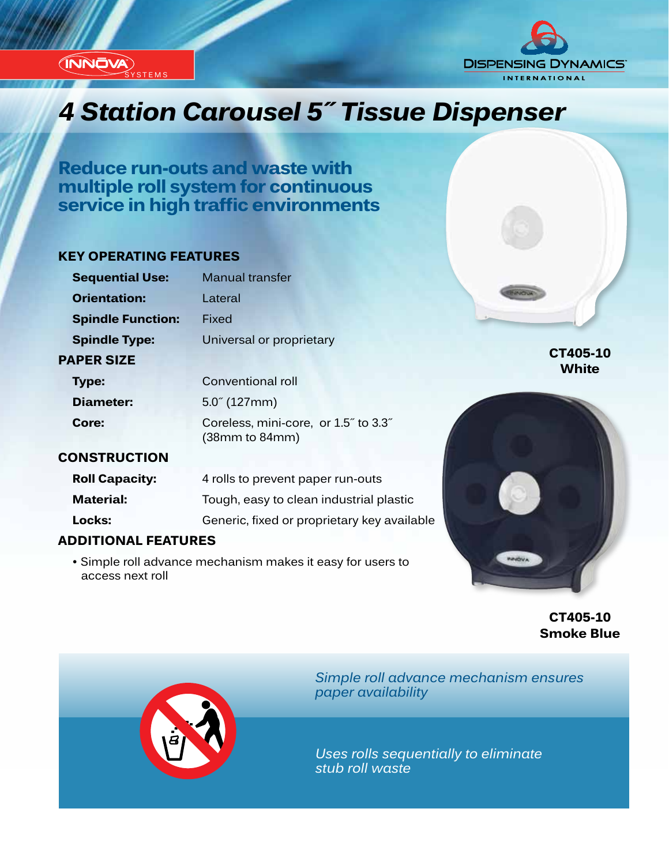**(INNOVA) STEMS** 



# *Innovation...Design...Solutions 4 Station Carousel 5˝ Tissue Dispenser*

**Reduce run-outs and waste with multiple roll system for continuous service in high traffic environments**

#### **KEY OPERATING FEATURES**

| <b>Sequential Use:</b>   | <b>Manual transfer</b>                                 |
|--------------------------|--------------------------------------------------------|
| <b>Orientation:</b>      | I ateral                                               |
| <b>Spindle Function:</b> | Fixed                                                  |
| <b>Spindle Type:</b>     | Universal or proprietary                               |
| <b>PAPER SIZE</b>        |                                                        |
| <b>Type:</b>             | Conventional roll                                      |
| <b>Diameter:</b>         | $5.0^{\circ}$ (127mm)                                  |
| Core:                    | Coreless, mini-core, or 1.5" to 3.3"<br>(38mm to 84mm) |

#### **CONSTRUCTION**

| <b>Roll Capacity:</b> | 4 rolls to prevent paper run-outs           |
|-----------------------|---------------------------------------------|
| <b>Material:</b>      | Tough, easy to clean industrial plastic     |
| Locks:                | Generic, fixed or proprietary key available |

### **ADDITIONAL FEATURES**

 • Simple roll advance mechanism makes it easy for users to access next roll



**CT405-10 Smoke Blue**

**CT405-10 White**



*Simple roll advance mechanism ensures paper availability*

*Uses rolls sequentially to eliminate stub roll waste*